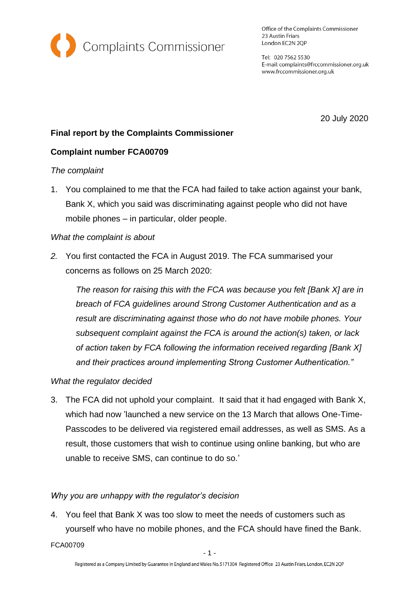

Office of the Complaints Commissioner 23 Austin Friars London EC2N 2QP

Tel: 020 7562 5530 E-mail: complaints@frccommissioner.org.uk www.frccommissioner.org.uk

20 July 2020

# **Final report by the Complaints Commissioner**

# **Complaint number FCA00709**

#### *The complaint*

1. You complained to me that the FCA had failed to take action against your bank, Bank X, which you said was discriminating against people who did not have mobile phones – in particular, older people.

### *What the complaint is about*

*2.* You first contacted the FCA in August 2019. The FCA summarised your concerns as follows on 25 March 2020:

*The reason for raising this with the FCA was because you felt [Bank X] are in breach of FCA guidelines around Strong Customer Authentication and as a result are discriminating against those who do not have mobile phones. Your subsequent complaint against the FCA is around the action(s) taken, or lack of action taken by FCA following the information received regarding [Bank X] and their practices around implementing Strong Customer Authentication."*

#### *What the regulator decided*

3. The FCA did not uphold your complaint. It said that it had engaged with Bank X, which had now 'launched a new service on the 13 March that allows One-Time-Passcodes to be delivered via registered email addresses, as well as SMS. As a result, those customers that wish to continue using online banking, but who are unable to receive SMS, can continue to do so.'

# *Why you are unhappy with the regulator's decision*

4. You feel that Bank X was too slow to meet the needs of customers such as yourself who have no mobile phones, and the FCA should have fined the Bank.

FCA00709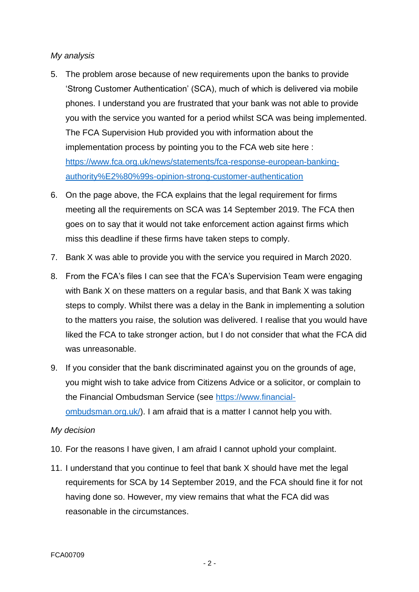### *My analysis*

- 5. The problem arose because of new requirements upon the banks to provide 'Strong Customer Authentication' (SCA), much of which is delivered via mobile phones. I understand you are frustrated that your bank was not able to provide you with the service you wanted for a period whilst SCA was being implemented. The FCA Supervision Hub provided you with information about the implementation process by pointing you to the FCA web site here : [https://www.fca.org.uk/news/statements/fca-response-european-banking](https://www.fca.org.uk/news/statements/fca-response-european-banking-authority%E2%80%99s-opinion-strong-customer-authentication)[authority%E2%80%99s-opinion-strong-customer-authentication](https://www.fca.org.uk/news/statements/fca-response-european-banking-authority%E2%80%99s-opinion-strong-customer-authentication)
- 6. On the page above, the FCA explains that the legal requirement for firms meeting all the requirements on SCA was 14 September 2019. The FCA then goes on to say that it would not take enforcement action against firms which miss this deadline if these firms have taken steps to comply.
- 7. Bank X was able to provide you with the service you required in March 2020.
- 8. From the FCA's files I can see that the FCA's Supervision Team were engaging with Bank X on these matters on a regular basis, and that Bank X was taking steps to comply. Whilst there was a delay in the Bank in implementing a solution to the matters you raise, the solution was delivered. I realise that you would have liked the FCA to take stronger action, but I do not consider that what the FCA did was unreasonable.
- 9. If you consider that the bank discriminated against you on the grounds of age, you might wish to take advice from Citizens Advice or a solicitor, or complain to the Financial Ombudsman Service (see [https://www.financial](https://www.financial-ombudsman.org.uk/)[ombudsman.org.uk/\)](https://www.financial-ombudsman.org.uk/). I am afraid that is a matter I cannot help you with.

#### *My decision*

- 10. For the reasons I have given, I am afraid I cannot uphold your complaint.
- 11. I understand that you continue to feel that bank X should have met the legal requirements for SCA by 14 September 2019, and the FCA should fine it for not having done so. However, my view remains that what the FCA did was reasonable in the circumstances.